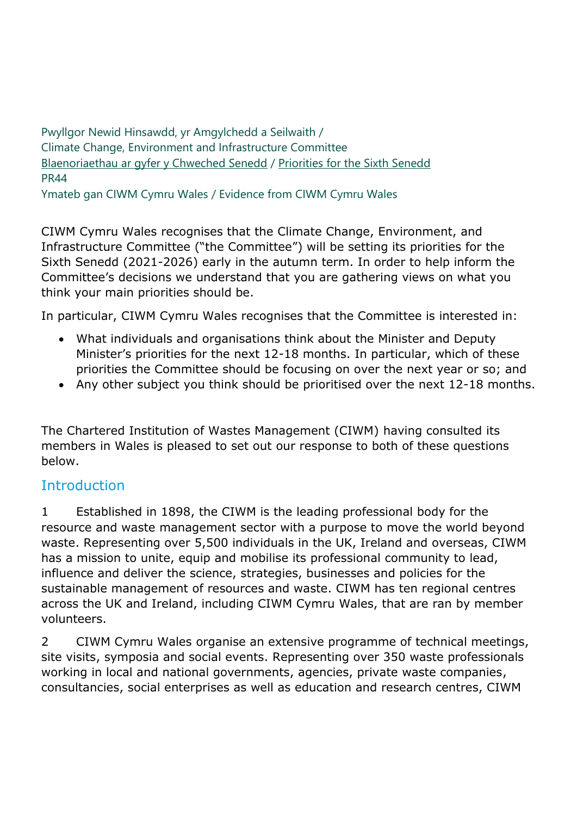Pwyllgor Newid Hinsawdd, yr Amgylchedd a Seilwaith / Climate Change, Environment and Infrastructure Committee [Blaenoriaethau ar gyfer y Chweched Senedd](https://busnes.senedd.cymru/mgConsultationDisplay.aspx?id=427&RPID=1026452002&cp=yes) / Priorities [for the Sixth Senedd](https://business.senedd.wales/mgConsultationDisplay.aspx?id=427&RPID=1026452002&cp=yes) PR44 Ymateb gan CIWM Cymru Wales / Evidence from CIWM Cymru Wales

CIWM Cymru Wales recognises that the Climate Change, Environment, and Infrastructure Committee ("the Committee") will be setting its priorities for the Sixth Senedd (2021-2026) early in the autumn term. In order to help inform the Committee's decisions we understand that you are gathering views on what you think your main priorities should be.

In particular, CIWM Cymru Wales recognises that the Committee is interested in:

- What individuals and organisations think about the Minister and Deputy Minister's priorities for the next 12-18 months. In particular, which of these priorities the Committee should be focusing on over the next year or so; and
- Any other subject you think should be prioritised over the next 12-18 months.

The Chartered Institution of Wastes Management (CIWM) having consulted its members in Wales is pleased to set out our response to both of these questions below.

#### **Introduction**

1 Established in 1898, the CIWM is the leading professional body for the resource and waste management sector with a purpose to move the world beyond waste. Representing over 5,500 individuals in the UK, Ireland and overseas, CIWM has a mission to unite, equip and mobilise its professional community to lead, influence and deliver the science, strategies, businesses and policies for the sustainable management of resources and waste. CIWM has ten regional centres across the UK and Ireland, including CIWM Cymru Wales, that are ran by member volunteers.

2 CIWM Cymru Wales organise an extensive programme of technical meetings, site visits, symposia and social events. Representing over 350 waste professionals working in local and national governments, agencies, private waste companies, consultancies, social enterprises as well as education and research centres, CIWM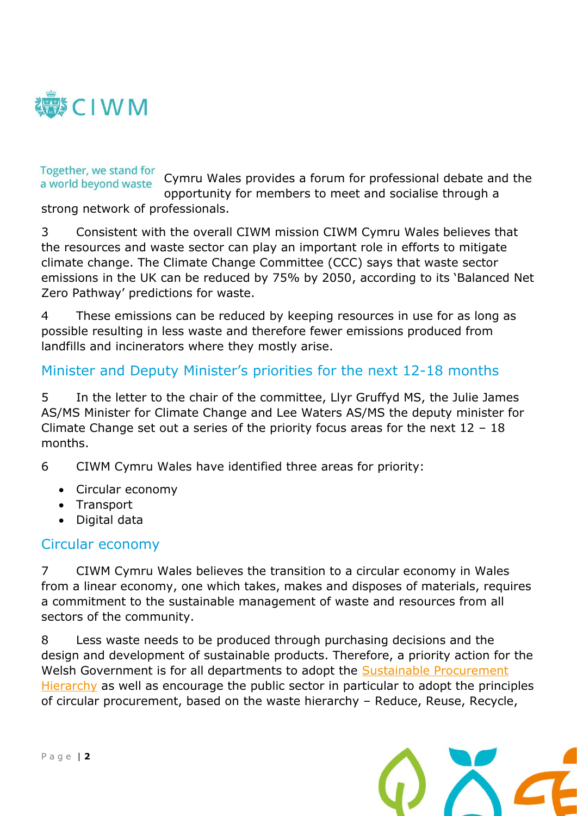

### Together, we stand for

Cymru Wales provides a forum for professional debate and the a world beyond waste opportunity for members to meet and socialise through a

strong network of professionals.

3 Consistent with the overall CIWM mission CIWM Cymru Wales believes that the resources and waste sector can play an important role in efforts to mitigate climate change. The Climate Change Committee (CCC) says that waste sector emissions in the UK can be reduced by 75% by 2050, according to its 'Balanced Net Zero Pathway' predictions for waste.

4 These emissions can be reduced by keeping resources in use for as long as possible resulting in less waste and therefore fewer emissions produced from landfills and incinerators where they mostly arise.

#### Minister and Deputy Minister's priorities for the next 12-18 months

5 In the letter to the chair of the committee, Llyr Gruffyd MS, the Julie James AS/MS Minister for Climate Change and Lee Waters AS/MS the deputy minister for Climate Change set out a series of the priority focus areas for the next 12 – 18 months.

6 CIWM Cymru Wales have identified three areas for priority:

- Circular economy
- Transport
- Digital data

#### Circular economy

7 CIWM Cymru Wales believes the transition to a circular economy in Wales from a linear economy, one which takes, makes and disposes of materials, requires a commitment to the sustainable management of waste and resources from all sectors of the community.

8 Less waste needs to be produced through purchasing decisions and the design and development of sustainable products. Therefore, a priority action for the Welsh Government is for all departments to adopt the [Sustainable Procurement](https://wrapcymru.org.uk/resources/guide/sustainable-procurement-hierarchy-guidance)  [Hierarchy](https://wrapcymru.org.uk/resources/guide/sustainable-procurement-hierarchy-guidance) as well as encourage the public sector in particular to adopt the principles of circular procurement, based on the waste hierarchy – Reduce, Reuse, Recycle,

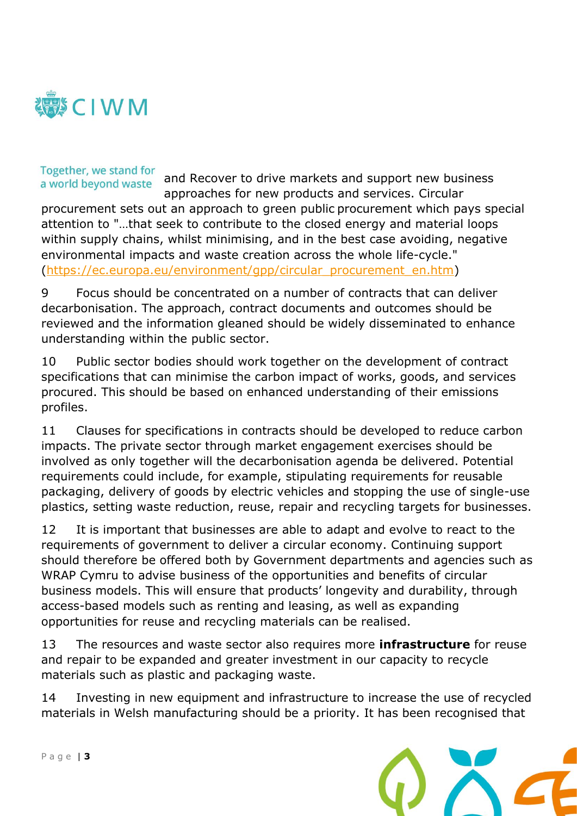

#### Together, we stand for a world beyond waste

and Recover to drive markets and support new business approaches for new products and services. Circular

procurement sets out an approach to green public procurement which pays special attention to "…that seek to contribute to the closed energy and material loops within supply chains, whilst minimising, and in the best case avoiding, negative environmental impacts and waste creation across the whole life-cycle." [\(https://ec.europa.eu/environment/gpp/circular\\_procurement\\_en.htm\)](https://ec.europa.eu/environment/gpp/circular_procurement_en.htm)

9 Focus should be concentrated on a number of contracts that can deliver decarbonisation. The approach, contract documents and outcomes should be reviewed and the information gleaned should be widely disseminated to enhance understanding within the public sector.

10 Public sector bodies should work together on the development of contract specifications that can minimise the carbon impact of works, goods, and services procured. This should be based on enhanced understanding of their emissions profiles.

11 Clauses for specifications in contracts should be developed to reduce carbon impacts. The private sector through market engagement exercises should be involved as only together will the decarbonisation agenda be delivered. Potential requirements could include, for example, stipulating requirements for reusable packaging, delivery of goods by electric vehicles and stopping the use of single-use plastics, setting waste reduction, reuse, repair and recycling targets for businesses.

12 It is important that businesses are able to adapt and evolve to react to the requirements of government to deliver a circular economy. Continuing support should therefore be offered both by Government departments and agencies such as WRAP Cymru to advise business of the opportunities and benefits of circular business models. This will ensure that products' longevity and durability, through access-based models such as renting and leasing, as well as expanding opportunities for reuse and recycling materials can be realised.

13 The resources and waste sector also requires more **infrastructure** for reuse and repair to be expanded and greater investment in our capacity to recycle materials such as plastic and packaging waste.

14 Investing in new equipment and infrastructure to increase the use of recycled materials in Welsh manufacturing should be a priority. It has been recognised that

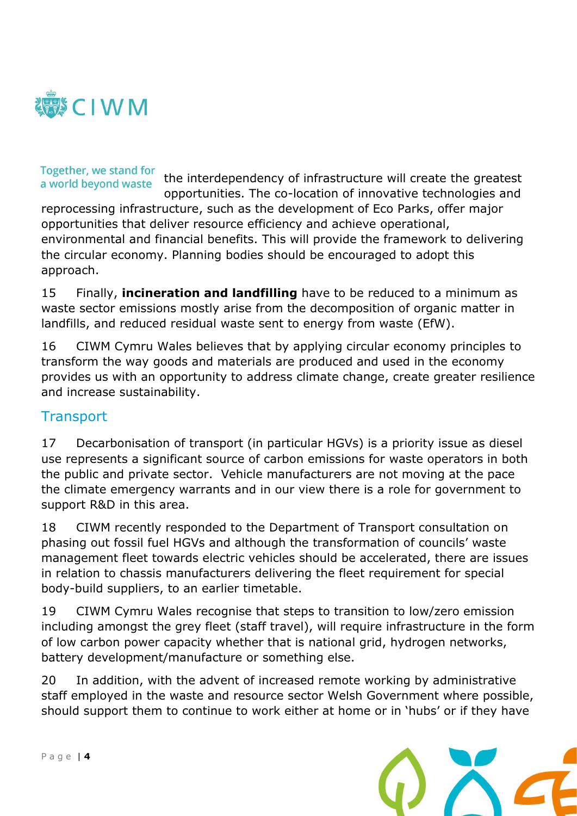

# Together, we stand for

the interdependency of infrastructure will create the greatest a world beyond waste opportunities. The co-location of innovative technologies and reprocessing infrastructure, such as the development of Eco Parks, offer major opportunities that deliver resource efficiency and achieve operational, environmental and financial benefits. This will provide the framework to delivering the circular economy. Planning bodies should be encouraged to adopt this approach.

15 Finally, **incineration and landfilling** have to be reduced to a minimum as waste sector emissions mostly arise from the decomposition of organic matter in landfills, and reduced residual waste sent to energy from waste (EfW).

16 CIWM Cymru Wales believes that by applying circular economy principles to transform the way goods and materials are produced and used in the economy provides us with an opportunity to address climate change, create greater resilience and increase sustainability.

#### **Transport**

17 Decarbonisation of transport (in particular HGVs) is a priority issue as diesel use represents a significant source of carbon emissions for waste operators in both the public and private sector. Vehicle manufacturers are not moving at the pace the climate emergency warrants and in our view there is a role for government to support R&D in this area.

18 CIWM recently responded to the Department of Transport consultation on phasing out fossil fuel HGVs and although the transformation of councils' waste management fleet towards electric vehicles should be accelerated, there are issues in relation to chassis manufacturers delivering the fleet requirement for special body-build suppliers, to an earlier timetable.

19 CIWM Cymru Wales recognise that steps to transition to low/zero emission including amongst the grey fleet (staff travel), will require infrastructure in the form of low carbon power capacity whether that is national grid, hydrogen networks, battery development/manufacture or something else.

20 In addition, with the advent of increased remote working by administrative staff employed in the waste and resource sector Welsh Government where possible, should support them to continue to work either at home or in 'hubs' or if they have

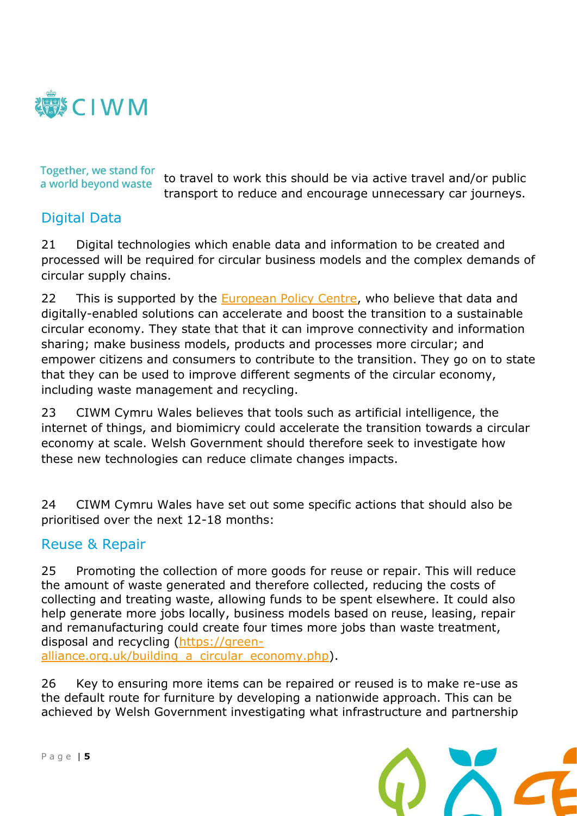

Together, we stand for a world beyond waste

to travel to work this should be via active travel and/or public transport to reduce and encourage unnecessary car journeys.

#### Digital Data

21 Digital technologies which enable data and information to be created and processed will be required for circular business models and the complex demands of circular supply chains.

22 This is supported by the **European Policy Centre**, who believe that data and digitally-enabled solutions can accelerate and boost the transition to a sustainable circular economy. They state that that it can improve connectivity and information sharing; make business models, products and processes more circular; and empower citizens and consumers to contribute to the transition. They go on to state that they can be used to improve different segments of the circular economy, including waste management and recycling.

23 CIWM Cymru Wales believes that tools such as artificial intelligence, the internet of things, and biomimicry could accelerate the transition towards a circular economy at scale. Welsh Government should therefore seek to investigate how these new technologies can reduce climate changes impacts.

24 CIWM Cymru Wales have set out some specific actions that should also be prioritised over the next 12-18 months:

#### Reuse & Repair

25 Promoting the collection of more goods for reuse or repair. This will reduce the amount of waste generated and therefore collected, reducing the costs of collecting and treating waste, allowing funds to be spent elsewhere. It could also help generate more jobs locally, business models based on reuse, leasing, repair and remanufacturing could create four times more jobs than waste treatment, disposal and recycling [\(https://green](https://eur02.safelinks.protection.outlook.com/?url=https%3A%2F%2Fgreen-alliance.org.uk%2Fbuilding_a_circular_economy.php&data=04%7C01%7C%7C04921fef81e849ff170708d9204a8a77%7C43dd7f33993442e892f58548d6366a75%7C0%7C0%7C637576326802602167%7CUnknown%7CTWFpbGZsb3d8eyJWIjoiMC4wLjAwMDAiLCJQIjoiV2luMzIiLCJBTiI6Ik1haWwiLCJXVCI6Mn0%3D%7C1000&sdata=dLxa7ETzxICC3WnXGbyJ1YX2DKXX0LIroiCQaqxyQLw%3D&reserved=0)alliance.org.uk/building a circular economy.php).

26 Key to ensuring more items can be repaired or reused is to make re-use as the default route for furniture by developing a nationwide approach. This can be achieved by Welsh Government investigating what infrastructure and partnership